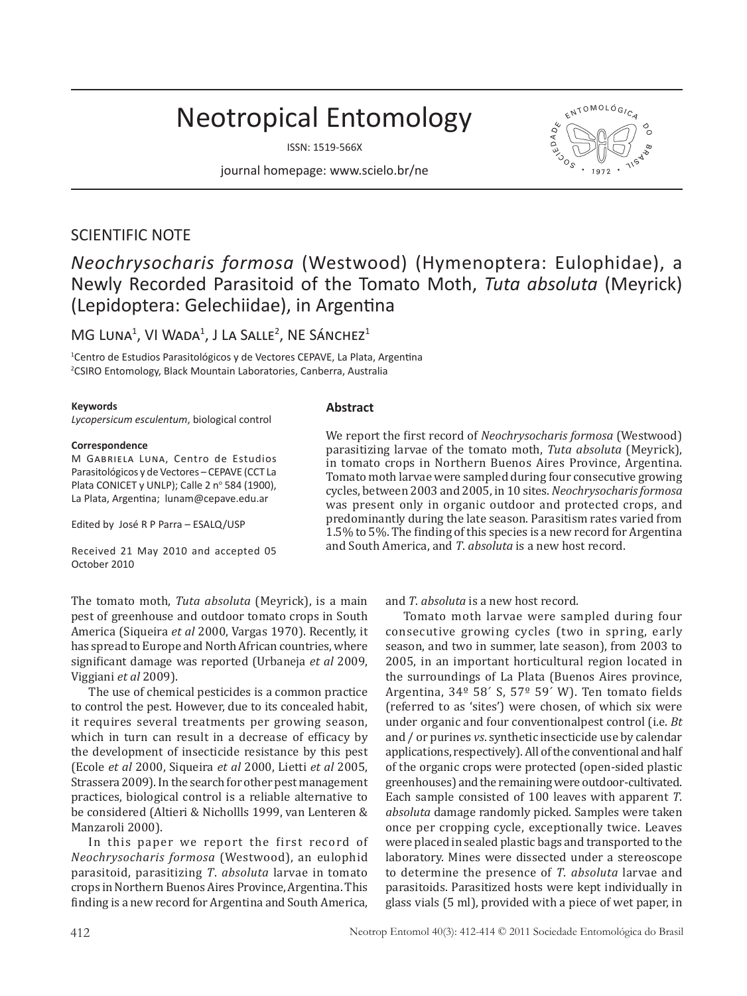# Neotropical Entomology

ISSN: 1519-566X

journal homepage: www.scielo.br/ne



## SCIENTIFIC NOTE

# *Neochrysocharis formosa* (Westwood) (Hymenoptera: Eulophidae), a Newly Recorded Parasitoid of the Tomato Moth, *Tuta absoluta* (Meyrick) (Lepidoptera: Gelechiidae), in Argentina

### MG LUNA<sup>1</sup>, VI WADA<sup>1</sup>, J LA SALLE<sup>2</sup>, NE SÁNCHEZ<sup>1</sup>

1 Centro de Estudios Parasitológicos y de Vectores CEPAVE, La Plata, Argentina 2 CSIRO Entomology, Black Mountain Laboratories, Canberra, Australia

#### **Keywords**

*Lycopersicum esculentum*, biological control

#### **Correspondence**

M Gabriela Luna, Centro de Estudios Parasitológicos y de Vectores – CEPAVE (CCT La Plata CONICET y UNLP); Calle 2 nº 584 (1900), La Plata, Argentina; lunam@cepave.edu.ar

Edited by José R P Parra – ESALQ/USP

Received 21 May 2010 and accepted 05 October 2010

#### **Abstract**

We report the first record of *Neochrysocharis formosa* (Westwood) parasitizing larvae of the tomato moth, *Tuta absoluta* (Meyrick), in tomato crops in Northern Buenos Aires Province, Argentina. Tomato moth larvae were sampled during four consecutive growing cycles, between 2003 and 2005, in 10 sites. *Neochrysocharis formosa* was present only in organic outdoor and protected crops, and predominantly during the late season. Parasitism rates varied from 1.5% to 5%. The finding of this species is a new record for Argentina and South America, and *T*. *absoluta* is a new host record.

and *T*. *absoluta* is a new host record.

Tomato moth larvae were sampled during four consecutive growing cycles (two in spring, early season, and two in summer, late season), from 2003 to 2005, in an important horticultural region located in the surroundings of La Plata (Buenos Aires province, Argentina, 34º 58´ S, 57º 59´ W). Ten tomato fields (referred to as 'sites') were chosen, of which six were under organic and four conventionalpest control (i.e. *Bt* and / or purines *vs*. synthetic insecticide use by calendar applications, respectively). All of the conventional and half of the organic crops were protected (open-sided plastic greenhouses) and the remaining were outdoor-cultivated. Each sample consisted of 100 leaves with apparent *T*. *absoluta* damage randomly picked. Samples were taken once per cropping cycle, exceptionally twice. Leaves were placed in sealed plastic bags and transported to the laboratory. Mines were dissected under a stereoscope to determine the presence of *T*. *absoluta* larvae and parasitoids. Parasitized hosts were kept individually in glass vials (5 ml), provided with a piece of wet paper, in

The tomato moth, *Tuta absoluta* (Meyrick), is a main pest of greenhouse and outdoor tomato crops in South America (Siqueira *et al* 2000, Vargas 1970). Recently, it has spread to Europe and North African countries, where significant damage was reported (Urbaneja *et al* 2009, Viggiani *et al* 2009).

The use of chemical pesticides is a common practice to control the pest. However, due to its concealed habit, it requires several treatments per growing season, which in turn can result in a decrease of efficacy by the development of insecticide resistance by this pest (Ecole *et al* 2000, Siqueira *et al* 2000, Lietti *et al* 2005, Strassera 2009). In the search for other pest management practices, biological control is a reliable alternative to be considered (Altieri & Nichollls 1999, van Lenteren & Manzaroli 2000).

In this paper we report the first record of *Neochrysocharis formosa* (Westwood), an eulophid parasitoid, parasitizing *T*. *absoluta* larvae in tomato crops in Northern Buenos Aires Province, Argentina. This finding is a new record for Argentina and South America,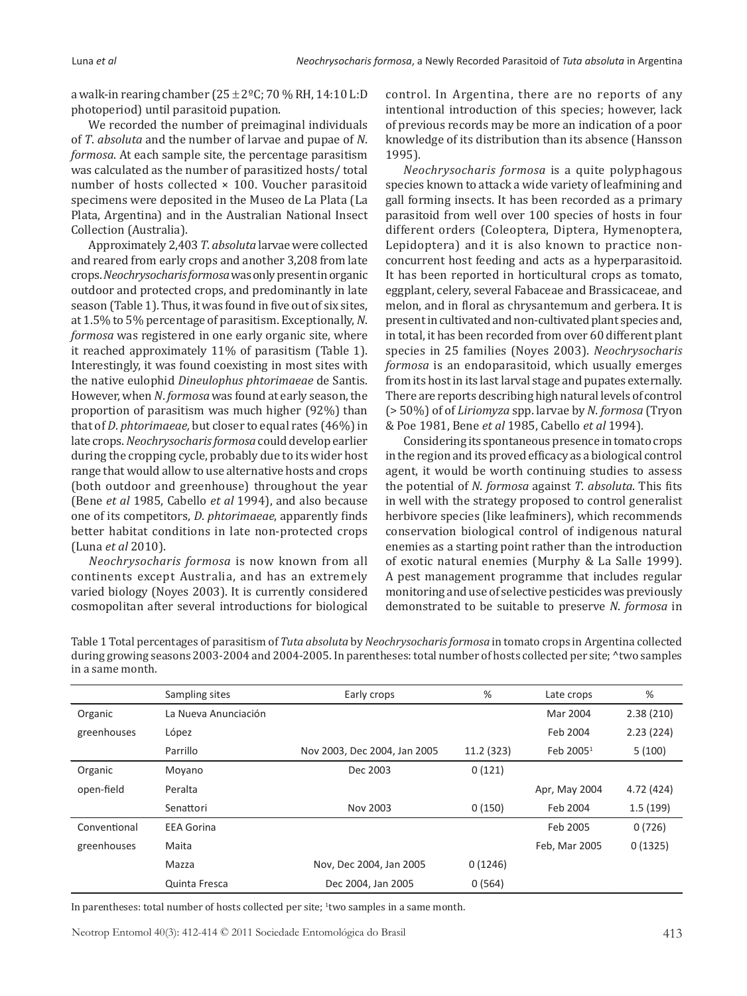a walk-in rearing chamber ( $25 \pm 2$ °C; 70 % RH, 14:10 L:D photoperiod) until parasitoid pupation.

We recorded the number of preimaginal individuals of *T*. *absoluta* and the number of larvae and pupae of *N*. *formosa*. At each sample site, the percentage parasitism was calculated as the number of parasitized hosts/ total number of hosts collected × 100. Voucher parasitoid specimens were deposited in the Museo de La Plata (La Plata, Argentina) and in the Australian National Insect Collection (Australia).

Approximately 2,403 *T*. *absoluta* larvae were collected and reared from early crops and another 3,208 from late crops. *Neochrysocharis formosa* was only present in organic outdoor and protected crops, and predominantly in late season (Table 1). Thus, it was found in five out of six sites, at 1.5% to 5% percentage of parasitism. Exceptionally, *N*. *formosa* was registered in one early organic site, where it reached approximately 11% of parasitism (Table 1). Interestingly, it was found coexisting in most sites with the native eulophid *Dineulophus phtorimaeae* de Santis. However, when *N*. *formosa* was found at early season, the proportion of parasitism was much higher (92%) than that of *D*. *phtorimaeae,* but closer to equal rates (46%) in late crops. *Neochrysocharis formosa* could develop earlier during the cropping cycle, probably due to its wider host range that would allow to use alternative hosts and crops (both outdoor and greenhouse) throughout the year (Bene *et al* 1985, Cabello *et al* 1994), and also because one of its competitors, *D*. *phtorimaeae*, apparently finds better habitat conditions in late non-protected crops (Luna *et al* 2010).

*Neochrysocharis formosa* is now known from all continents except Australia, and has an extremely varied biology (Noyes 2003). It is currently considered cosmopolitan after several introductions for biological control. In Argentina, there are no reports of any intentional introduction of this species; however, lack of previous records may be more an indication of a poor knowledge of its distribution than its absence (Hansson 1995).

*Neochrysocharis formosa* is a quite polyphagous species known to attack a wide variety of leafmining and gall forming insects. It has been recorded as a primary parasitoid from well over 100 species of hosts in four different orders (Coleoptera, Diptera, Hymenoptera, Lepidoptera) and it is also known to practice nonconcurrent host feeding and acts as a hyperparasitoid. It has been reported in horticultural crops as tomato, eggplant, celery, several Fabaceae and Brassicaceae, and melon, and in floral as chrysantemum and gerbera. It is present in cultivated and non-cultivated plant species and, in total, it has been recorded from over 60 different plant species in 25 families (Noyes 2003). *Neochrysocharis formosa* is an endoparasitoid, which usually emerges from its host in its last larval stage and pupates externally. There are reports describing high natural levels of control (> 50%) of of *Liriomyza* spp. larvae by *N*. *formosa* (Tryon & Poe 1981, Bene *et al* 1985, Cabello *et al* 1994).

Considering its spontaneous presence in tomato crops in the region and its proved efficacy as a biological control agent, it would be worth continuing studies to assess the potential of *N*. *formosa* against *T*. *absoluta*. This fits in well with the strategy proposed to control generalist herbivore species (like leafminers), which recommends conservation biological control of indigenous natural enemies as a starting point rather than the introduction of exotic natural enemies (Murphy & La Salle 1999). A pest management programme that includes regular monitoring and use of selective pesticides was previously demonstrated to be suitable to preserve *N*. *formosa* in

Table 1 Total percentages of parasitism of *Tuta absoluta* by *Neochrysocharis formosa* in tomato crops in Argentina collected during growing seasons 2003-2004 and 2004-2005. In parentheses: total number of hosts collected per site; ^two samples in a same month.

|              | Sampling sites       | Early crops                  | %          | Late crops    | %          |
|--------------|----------------------|------------------------------|------------|---------------|------------|
| Organic      | La Nueva Anunciación |                              |            | Mar 2004      | 2.38(210)  |
| greenhouses  | López                |                              |            | Feb 2004      | 2.23(224)  |
|              | Parrillo             | Nov 2003, Dec 2004, Jan 2005 | 11.2 (323) | Feb $2005^1$  | 5(100)     |
| Organic      | Moyano               | Dec 2003                     | 0(121)     |               |            |
| open-field   | Peralta              |                              |            | Apr, May 2004 | 4.72 (424) |
|              | Senattori            | Nov 2003                     | 0(150)     | Feb 2004      | 1.5(199)   |
| Conventional | <b>EEA Gorina</b>    |                              |            | Feb 2005      | 0(726)     |
| greenhouses  | Maita                |                              |            | Feb, Mar 2005 | 0(1325)    |
|              | Mazza                | Nov, Dec 2004, Jan 2005      | 0(1246)    |               |            |
|              | Quinta Fresca        | Dec 2004, Jan 2005           | 0(564)     |               |            |

In parentheses: total number of hosts collected per site; <sup>1</sup>two samples in a same month.

Neotrop Entomol 40(3): 412-414 © 2011 Sociedade Entomológica do Brasil